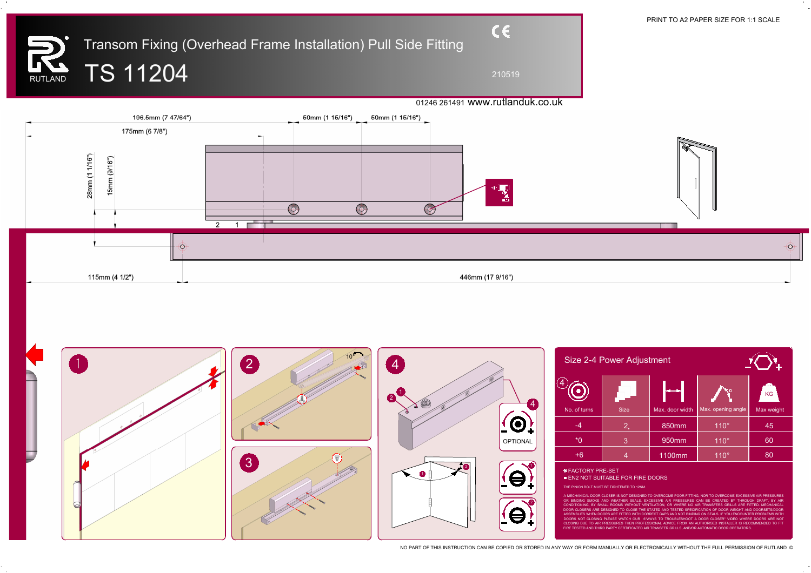210519

## Transom Fixing (Overhead Frame Installation) Pull Side Fitting RUTLAND TS 11204



PRINT TO A2 PAPER SIZE FOR 1:1 SCALE

 $\bigcirc$ 



NO PART OF THIS INSTRUCTION CAN BE COPIED OR STORED IN ANY WAY OR FORM MANUALLY OR ELECTRONICALLY WITHOUT THE FULL PERMISSION OF RUTLAND ©

|                        | Size 2-4 Power Adjustment |                |                 |                    |            |  |
|------------------------|---------------------------|----------------|-----------------|--------------------|------------|--|
| $\boldsymbol{4}^\cdot$ |                           |                |                 |                    | <b>KG</b>  |  |
|                        | No. of turns              | <b>Size</b>    | Max. door width | Max. opening angle | Max weight |  |
|                        | $-4$                      | 2 <sub>n</sub> | 850mm           | $110^\circ$        | 45         |  |
| Ξ,                     | $*0$                      | $\overline{3}$ | 950mm           | $110^\circ$        | 60         |  |
|                        | $+6$                      | $\overline{4}$ | 1100mm          | $110^\circ$        | 80         |  |
|                        | <b>* FACTORY PRE-SET</b>  |                |                 |                    |            |  |

**EN2 NOT SUITABLE FOR FIRE DOORS** 

THE PINION BOLT MUST BE TIGHTENED TO 12NM.

A MECHANICAL DOOR CLOSER IS NOT DESIGNED TO OVERCOME POOR FITTING, NOR TO OVERCOME EXCESSIVE AIR PRESSURES OR BINDING SMOKE AND WEATHER SEALS. EXCESSIVE AIR PRESSURES CAN BE CREATED BY THROUGH DRAFT, BY AIR CONDITIONING, BY SMALL ROOMS WITHOUT VENTILATION, OR WHERE NO AIR TRANSFERS GRILLS ARE FITTED. MECHANICAL DOOR CLOSERS ARE DESIGNED TO CLOSE THE STATED AND TESTED SPECIFICATION OF DOOR WEIGHT AND DOORSETS/DOOR ASSEMBLIES WHEN DOORS ARE FITTED WITH CORRECT GAPS AND NOT BINDING ON SEALS. IF YOU ENCOUNTER PROBLEMS WITH DOORS NOT CLOSING PLEASE WATCH OUR 6"WAYS TO TROUBLESHOOT A DOOR CLOSER" VIDEO WHERE DOORS ARE NOT CLOSING DUE TO AIR PRESSURES THEN PROFESSIONAL ADVICE FROM AN AUTHORISED INSTALLER IS RECOMMENDED TO FIT FIRE TESTED AND THIRD PARTY CERTIFICATED AIR TRANSFER GRILLS, AND/OR AUTOMATIC DOOR OPERATORS.

## 01246 261491 www.rutlanduk.co.uk